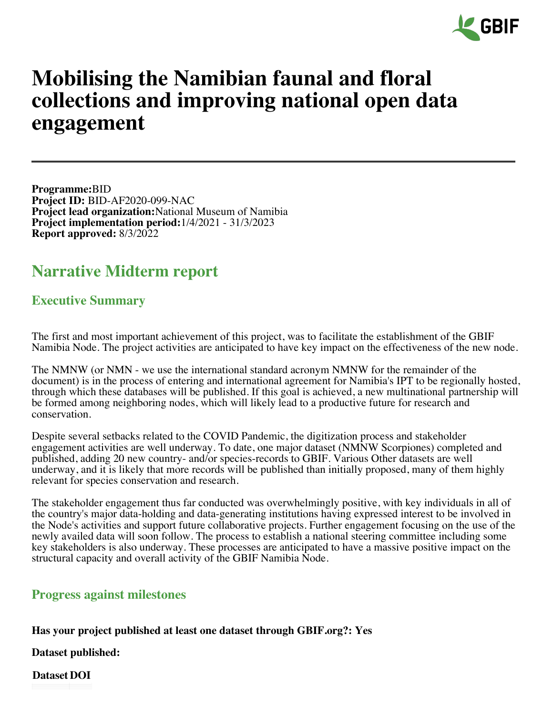

# **Mobilising the Namibian faunal and floral collections and improving national open data engagement**

**Programme:**BID **Project ID:** BID-AF2020-099-NAC **Project lead organization:**National Museum of Namibia **Project implementation period:**1/4/2021 - 31/3/2023 **Report approved:** 8/3/2022

## **Narrative Midterm report**

## **Executive Summary**

The first and most important achievement of this project, was to facilitate the establishment of the GBIF Namibia Node. The project activities are anticipated to have key impact on the effectiveness of the new node.

The NMNW (or NMN - we use the international standard acronym NMNW for the remainder of the document) is in the process of entering and international agreement for Namibia's IPT to be regionally hosted, through which these databases will be published. If this goal is achieved, a new multinational partnership will be formed among neighboring nodes, which will likely lead to a productive future for research and conservation.

Despite several setbacks related to the COVID Pandemic, the digitization process and stakeholder engagement activities are well underway. To date, one major dataset (NMNW Scorpiones) completed and published, adding 20 new country- and/or species-records to GBIF. Various Other datasets are well underway, and it is likely that more records will be published than initially proposed, many of them highly relevant for species conservation and research.

The stakeholder engagement thus far conducted was overwhelmingly positive, with key individuals in all of the country's major data-holding and data-generating institutions having expressed interest to be involved in the Node's activities and support future collaborative projects. Further engagement focusing on the use of the newly availed data will soon follow. The process to establish a national steering committee including some key stakeholders is also underway. These processes are anticipated to have a massive positive impact on the structural capacity and overall activity of the GBIF Namibia Node.

## **Progress against milestones**

## **Has your project published at least one dataset through GBIF.org?: Yes**

**Dataset published:**

**Dataset DOI** $\mathcal{L}(\mathcal{L})$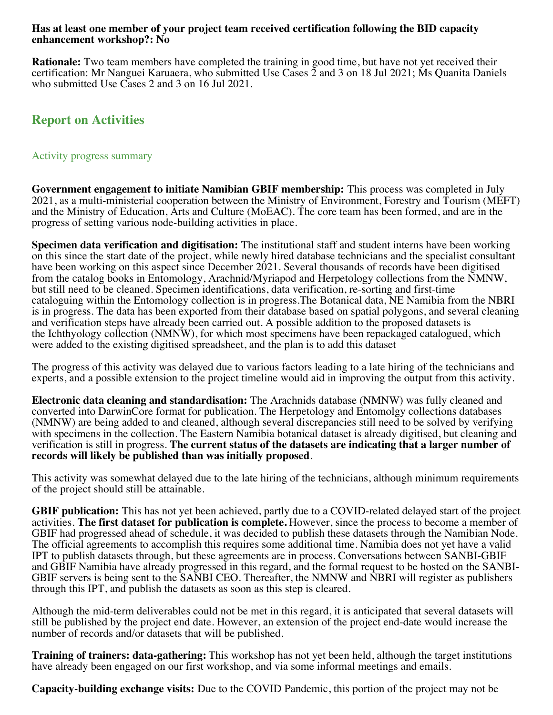#### **Has at least one member of your project team received certification following the BID capacity enhancement workshop?: No**

**Rationale:** Two team members have completed the training in good time, but have not yet received their certification: Mr Nanguei Karuaera, who submitted Use Cases 2 and 3 on 18 Jul 2021; Ms Quanita Daniels who submitted Use Cases 2 and 3 on 16 Jul 2021.

## **Report on Activities**

#### Activity progress summary

**Government engagement to initiate Namibian GBIF membership:** This process was completed in July 2021, as a multi-ministerial cooperation between the Ministry of Environment, Forestry and Tourism (MEFT) and the Ministry of Education, Arts and Culture (MoEAC). The core team has been formed, and are in the progress of setting various node-building activities in place.

**Specimen data verification and digitisation:** The institutional staff and student interns have been working on this since the start date of the project, while newly hired database technicians and the specialist consultant have been working on this aspect since December 2021. Several thousands of records have been digitised from the catalog books in Entomology, Arachnid/Myriapod and Herpetology collections from the NMNW, but still need to be cleaned. Specimen identifications, data verification, re-sorting and first-time cataloguing within the Entomology collection is in progress.The Botanical data, NE Namibia from the NBRI is in progress. The data has been exported from their database based on spatial polygons, and several cleaning and verification steps have already been carried out. A possible addition to the proposed datasets is the Ichthyology collection (NMNW), for which most specimens have been repackaged catalogued, which were added to the existing digitised spreadsheet, and the plan is to add this dataset

The progress of this activity was delayed due to various factors leading to a late hiring of the technicians and experts, and a possible extension to the project timeline would aid in improving the output from this activity.

**Electronic data cleaning and standardisation:** The Arachnids database (NMNW) was fully cleaned and converted into DarwinCore format for publication. The Herpetology and Entomolgy collections databases (NMNW) are being added to and cleaned, although several discrepancies still need to be solved by verifying with specimens in the collection. The Eastern Namibia botanical dataset is already digitised, but cleaning and verification is still in progress. **The current status of the datasets are indicating that a larger number of records will likely be published than was initially proposed**.

This activity was somewhat delayed due to the late hiring of the technicians, although minimum requirements of the project should still be attainable.

**GBIF publication:** This has not yet been achieved, partly due to a COVID-related delayed start of the project activities. **The first dataset for publication is complete.** However, since the process to become a member of GBIF had progressed ahead of schedule, it was decided to publish these datasets through the Namibian Node. The official agreements to accomplish this requires some additional time. Namibia does not yet have a valid IPT to publish datasets through, but these agreements are in process. Conversations between SANBI-GBIF and GBIF Namibia have already progressed in this regard, and the formal request to be hosted on the SANBI-GBIF servers is being sent to the SANBI CEO. Thereafter, the NMNW and NBRI will register as publishers through this IPT, and publish the datasets as soon as this step is cleared.

Although the mid-term deliverables could not be met in this regard, it is anticipated that several datasets will still be published by the project end date. However, an extension of the project end-date would increase the number of records and/or datasets that will be published.

**Training of trainers: data-gathering:** This workshop has not yet been held, although the target institutions have already been engaged on our first workshop, and via some informal meetings and emails.

**Capacity-building exchange visits:** Due to the COVID Pandemic, this portion of the project may not be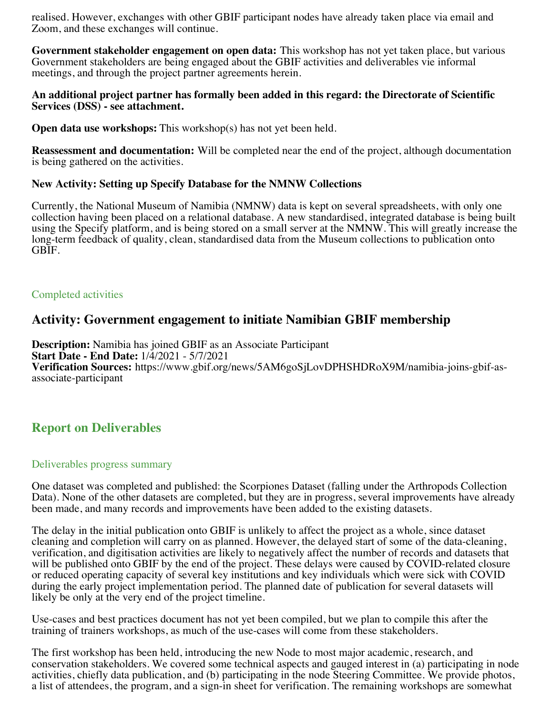realised. However, exchanges with other GBIF participant nodes have already taken place via email and Zoom, and these exchanges will continue.

**Government stakeholder engagement on open data:** This workshop has not yet taken place, but various Government stakeholders are being engaged about the GBIF activities and deliverables vie informal meetings, and through the project partner agreements herein.

#### **An additional project partner has formally been added in this regard: the Directorate of Scientific Services (DSS) - see attachment.**

**Open data use workshops:** This workshop(s) has not yet been held.

**Reassessment and documentation:** Will be completed near the end of the project, although documentation is being gathered on the activities.

#### **New Activity: Setting up Specify Database for the NMNW Collections**

Currently, the National Museum of Namibia (NMNW) data is kept on several spreadsheets, with only one collection having been placed on a relational database. A new standardised, integrated database is being built using the Specify platform, and is being stored on a small server at the NMNW. This will greatly increase the long-term feedback of quality, clean, standardised data from the Museum collections to publication onto GBIF.

#### Completed activities

## **Activity: Government engagement to initiate Namibian GBIF membership**

**Description:** Namibia has joined GBIF as an Associate Participant **Start Date - End Date:** 1/4/2021 - 5/7/2021 **Verification Sources:** https://www.gbif.org/news/5AM6goSjLovDPHSHDRoX9M/namibia-joins-gbif-asassociate-participant

## **Report on Deliverables**

#### Deliverables progress summary

One dataset was completed and published: the Scorpiones Dataset (falling under the Arthropods Collection Data). None of the other datasets are completed, but they are in progress, several improvements have already been made, and many records and improvements have been added to the existing datasets.

The delay in the initial publication onto GBIF is unlikely to affect the project as a whole, since dataset cleaning and completion will carry on as planned. However, the delayed start of some of the data-cleaning, verification, and digitisation activities are likely to negatively affect the number of records and datasets that will be published onto GBIF by the end of the project. These delays were caused by COVID-related closure or reduced operating capacity of several key institutions and key individuals which were sick with COVID during the early project implementation period. The planned date of publication for several datasets will likely be only at the very end of the project timeline.

Use-cases and best practices document has not yet been compiled, but we plan to compile this after the training of trainers workshops, as much of the use-cases will come from these stakeholders.

The first workshop has been held, introducing the new Node to most major academic, research, and conservation stakeholders. We covered some technical aspects and gauged interest in (a) participating in node activities, chiefly data publication, and (b) participating in the node Steering Committee. We provide photos, a list of attendees, the program, and a sign-in sheet for verification. The remaining workshops are somewhat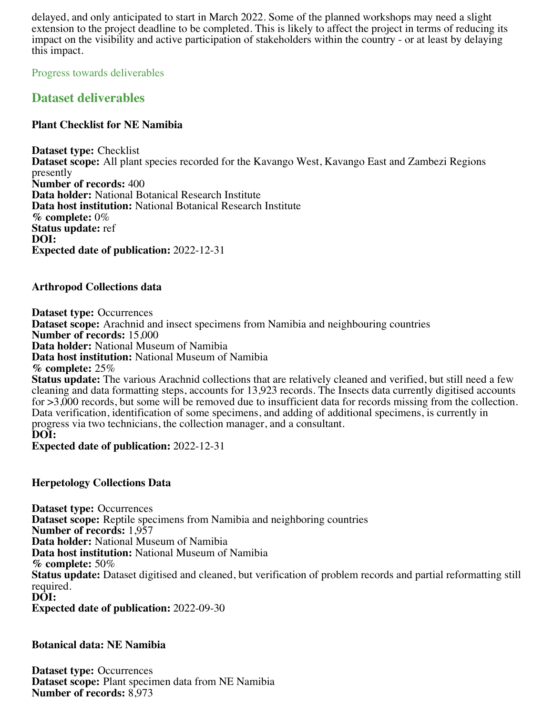delayed, and only anticipated to start in March 2022. Some of the planned workshops may need a slight extension to the project deadline to be completed. This is likely to affect the project in terms of reducing its impact on the visibility and active participation of stakeholders within the country - or at least by delaying this impact.

Progress towards deliverables

## **Dataset deliverables**

#### **Plant Checklist for NE Namibia**

**Dataset type:** Checklist **Dataset scope:** All plant species recorded for the Kavango West, Kavango East and Zambezi Regions presently **Number of records:** 400 **Data holder:** National Botanical Research Institute **Data host institution:** National Botanical Research Institute **% complete:** 0% **Status update:** ref **DOI: Expected date of publication:** 2022-12-31

#### **Arthropod Collections data**

**Dataset type:** Occurrences **Dataset scope:** Arachnid and insect specimens from Namibia and neighbouring countries **Number of records:** 15,000 **Data holder:** National Museum of Namibia **Data host institution:** National Museum of Namibia **% complete:** 25% **Status update:** The various Arachnid collections that are relatively cleaned and verified, but still need a few cleaning and data formatting steps, accounts for 13,923 records. The Insects data currently digitised accounts for >3,000 records, but some will be removed due to insufficient data for records missing from the collection. Data verification, identification of some specimens, and adding of additional specimens, is currently in progress via two technicians, the collection manager, and a consultant. **DOI:**

**Expected date of publication:** 2022-12-31

#### **Herpetology Collections Data**

**Dataset type:** Occurrences **Dataset scope:** Reptile specimens from Namibia and neighboring countries **Number of records:** 1,957 **Data holder:** National Museum of Namibia **Data host institution:** National Museum of Namibia **% complete:** 50% **Status update:** Dataset digitised and cleaned, but verification of problem records and partial reformatting still required. **DOI:**

**Expected date of publication:** 2022-09-30

#### **Botanical data: NE Namibia**

**Dataset type:** Occurrences **Dataset scope:** Plant specimen data from NE Namibia **Number of records:** 8,973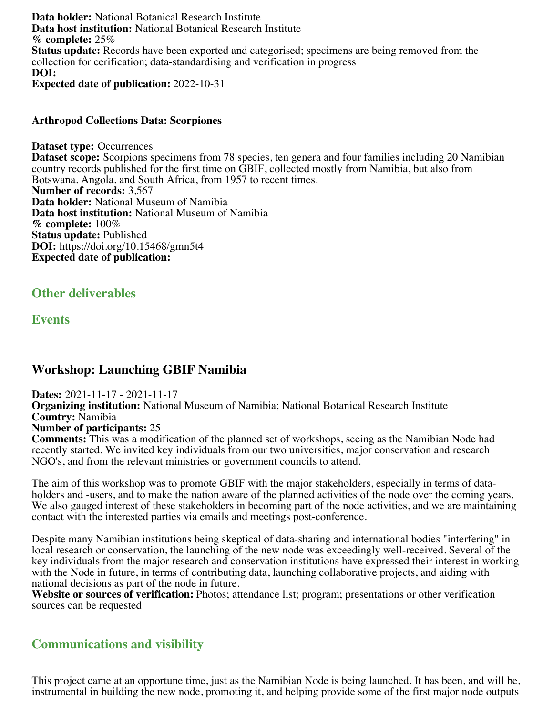**Data holder:** National Botanical Research Institute **Data host institution:** National Botanical Research Institute **% complete:** 25% **Status update:** Records have been exported and categorised; specimens are being removed from the collection for cerification; data-standardising and verification in progress **DOI: Expected date of publication:** 2022-10-31

#### **Arthropod Collections Data: Scorpiones**

**Dataset type:** Occurrences **Dataset scope:** Scorpions specimens from 78 species, ten genera and four families including 20 Namibian country records published for the first time on GBIF, collected mostly from Namibia, but also from Botswana, Angola, and South Africa, from 1957 to recent times. **Number of records:** 3,567 **Data holder:** National Museum of Namibia **Data host institution:** National Museum of Namibia **% complete:** 100% **Status update:** Published **DOI:** https://doi.org/10.15468/gmn5t4 **Expected date of publication:**

**Other deliverables**

**Events**

## **Workshop: Launching GBIF Namibia**

**Dates:** 2021-11-17 - 2021-11-17 **Organizing institution:** National Museum of Namibia; National Botanical Research Institute **Country:** Namibia **Number of participants:** 25 **Comments:** This was a modification of the planned set of workshops, seeing as the Namibian Node had recently started. We invited key individuals from our two universities, major conservation and research NGO's, and from the relevant ministries or government councils to attend.

The aim of this workshop was to promote GBIF with the major stakeholders, especially in terms of dataholders and -users, and to make the nation aware of the planned activities of the node over the coming years. We also gauged interest of these stakeholders in becoming part of the node activities, and we are maintaining contact with the interested parties via emails and meetings post-conference.

Despite many Namibian institutions being skeptical of data-sharing and international bodies "interfering" in local research or conservation, the launching of the new node was exceedingly well-received. Several of the key individuals from the major research and conservation institutions have expressed their interest in working with the Node in future, in terms of contributing data, launching collaborative projects, and aiding with national decisions as part of the node in future.

**Website or sources of verification:** Photos; attendance list; program; presentations or other verification sources can be requested

## **Communications and visibility**

This project came at an opportune time, just as the Namibian Node is being launched. It has been, and will be, instrumental in building the new node, promoting it, and helping provide some of the first major node outputs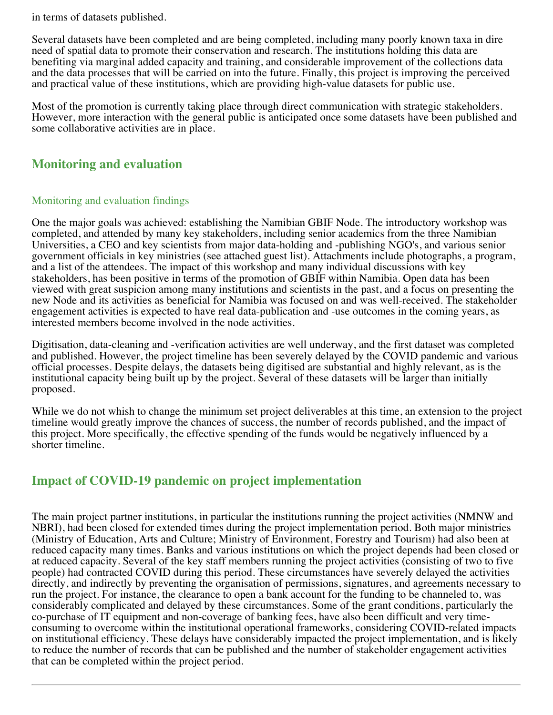in terms of datasets published.

Several datasets have been completed and are being completed, including many poorly known taxa in dire need of spatial data to promote their conservation and research. The institutions holding this data are benefiting via marginal added capacity and training, and considerable improvement of the collections data and the data processes that will be carried on into the future. Finally, this project is improving the perceived and practical value of these institutions, which are providing high-value datasets for public use.

Most of the promotion is currently taking place through direct communication with strategic stakeholders. However, more interaction with the general public is anticipated once some datasets have been published and some collaborative activities are in place.

## **Monitoring and evaluation**

#### Monitoring and evaluation findings

One the major goals was achieved: establishing the Namibian GBIF Node. The introductory workshop was completed, and attended by many key stakeholders, including senior academics from the three Namibian Universities, a CEO and key scientists from major data-holding and -publishing NGO's, and various senior government officials in key ministries (see attached guest list). Attachments include photographs, a program, and a list of the attendees. The impact of this workshop and many individual discussions with key stakeholders, has been positive in terms of the promotion of GBIF within Namibia. Open data has been viewed with great suspicion among many institutions and scientists in the past, and a focus on presenting the new Node and its activities as beneficial for Namibia was focused on and was well-received. The stakeholder engagement activities is expected to have real data-publication and -use outcomes in the coming years, as interested members become involved in the node activities.

Digitisation, data-cleaning and -verification activities are well underway, and the first dataset was completed and published. However, the project timeline has been severely delayed by the COVID pandemic and various official processes. Despite delays, the datasets being digitised are substantial and highly relevant, as is the institutional capacity being built up by the project. Several of these datasets will be larger than initially proposed.

While we do not whish to change the minimum set project deliverables at this time, an extension to the project timeline would greatly improve the chances of success, the number of records published, and the impact of this project. More specifically, the effective spending of the funds would be negatively influenced by a shorter timeline.

## **Impact of COVID-19 pandemic on project implementation**

The main project partner institutions, in particular the institutions running the project activities (NMNW and NBRI), had been closed for extended times during the project implementation period. Both major ministries (Ministry of Education, Arts and Culture; Ministry of Environment, Forestry and Tourism) had also been at reduced capacity many times. Banks and various institutions on which the project depends had been closed or at reduced capacity. Several of the key staff members running the project activities (consisting of two to five people) had contracted COVID during this period. These circumstances have severely delayed the activities directly, and indirectly by preventing the organisation of permissions, signatures, and agreements necessary to run the project. For instance, the clearance to open a bank account for the funding to be channeled to, was considerably complicated and delayed by these circumstances. Some of the grant conditions, particularly the co-purchase of IT equipment and non-coverage of banking fees, have also been difficult and very timeconsuming to overcome within the institutional operational frameworks, considering COVID-related impacts on institutional efficiency. These delays have considerably impacted the project implementation, and is likely to reduce the number of records that can be published and the number of stakeholder engagement activities that can be completed within the project period.